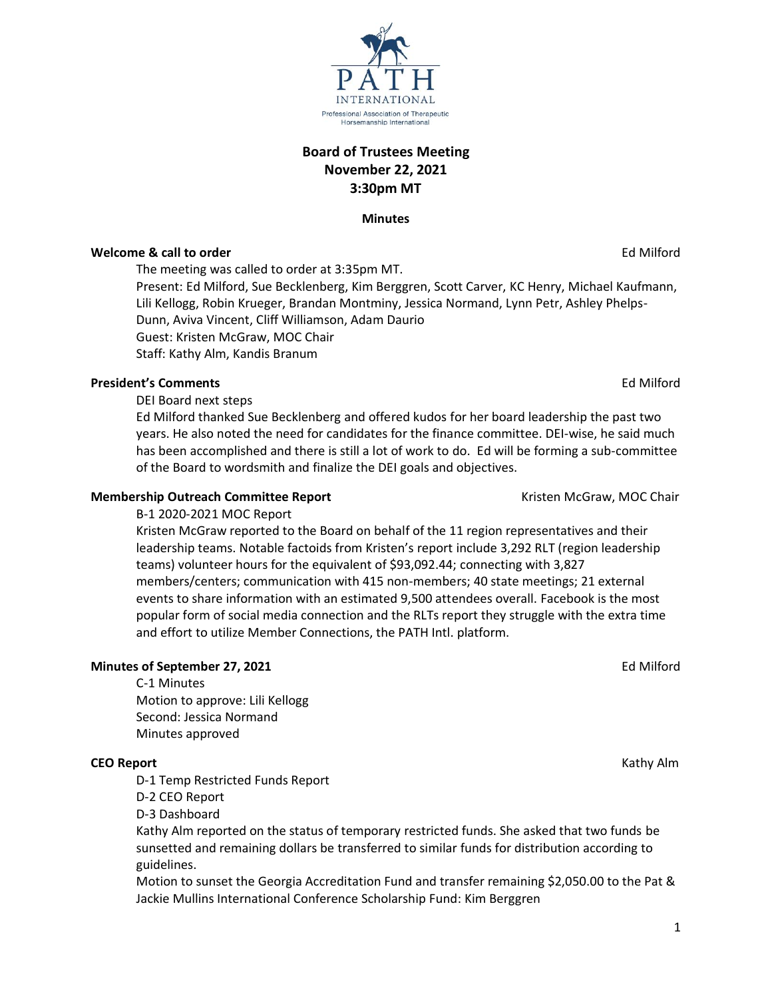**Board of Trustees Meeting November 22, 2021 3:30pm MT**

**Minutes**

# **Welcome & call to order Ed Milford Contract to the Contract of the Contract of Contract of the Contract of Contract of Contract of Contract of Contract of Contract of Contract of Contract of Contract of Contract of Co**

The meeting was called to order at 3:35pm MT.

Present: Ed Milford, Sue Becklenberg, Kim Berggren, Scott Carver, KC Henry, Michael Kaufmann, Lili Kellogg, Robin Krueger, Brandan Montminy, Jessica Normand, Lynn Petr, Ashley Phelps-Dunn, Aviva Vincent, Cliff Williamson, Adam Daurio Guest: Kristen McGraw, MOC Chair Staff: Kathy Alm, Kandis Branum

# **President's Comments** Ed Milford

DEI Board next steps

Ed Milford thanked Sue Becklenberg and offered kudos for her board leadership the past two years. He also noted the need for candidates for the finance committee. DEI-wise, he said much has been accomplished and there is still a lot of work to do. Ed will be forming a sub-committee of the Board to wordsmith and finalize the DEI goals and objectives.

# **Membership Outreach Committee Report** Numbership McGraw, MOC Chair

B-1 2020-2021 MOC Report

Kristen McGraw reported to the Board on behalf of the 11 region representatives and their leadership teams. Notable factoids from Kristen's report include 3,292 RLT (region leadership teams) volunteer hours for the equivalent of \$93,092.44; connecting with 3,827 members/centers; communication with 415 non-members; 40 state meetings; 21 external events to share information with an estimated 9,500 attendees overall. Facebook is the most popular form of social media connection and the RLTs report they struggle with the extra time and effort to utilize Member Connections, the PATH Intl. platform.

# **Minutes of September 27, 2021** Ed Milford

C-1 Minutes Motion to approve: Lili Kellogg Second: Jessica Normand Minutes approved

### **CEO Report** Kathy Alm

D-1 Temp Restricted Funds Report

D-2 CEO Report

D-3 Dashboard

Kathy Alm reported on the status of temporary restricted funds. She asked that two funds be sunsetted and remaining dollars be transferred to similar funds for distribution according to guidelines.

Motion to sunset the Georgia Accreditation Fund and transfer remaining \$2,050.00 to the Pat & Jackie Mullins International Conference Scholarship Fund: Kim Berggren

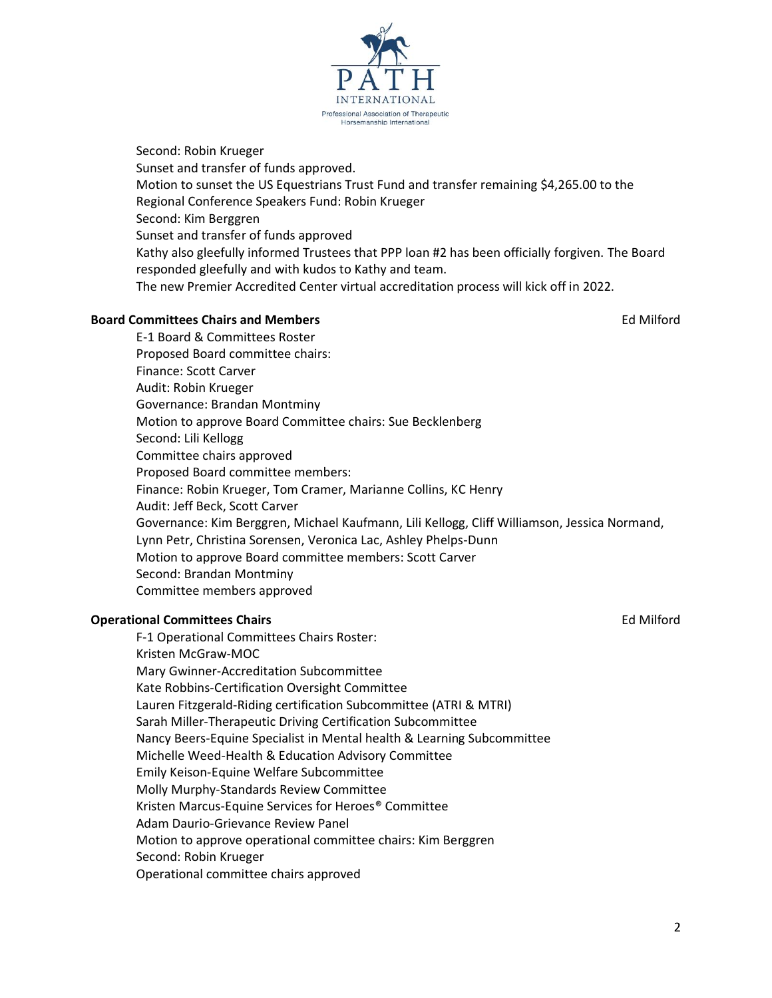

Kathy also gleefully informed Trustees that PPP loan #2 has been officially forgiven. The Board responded gleefully and with kudos to Kathy and team.

The new Premier Accredited Center virtual accreditation process will kick off in 2022.

# **Board Committees Chairs and Members Ed Milford Ed Milford**

E-1 Board & Committees Roster Proposed Board committee chairs: Finance: Scott Carver Audit: Robin Krueger Governance: Brandan Montminy Motion to approve Board Committee chairs: Sue Becklenberg Second: Lili Kellogg Committee chairs approved Proposed Board committee members: Finance: Robin Krueger, Tom Cramer, Marianne Collins, KC Henry Audit: Jeff Beck, Scott Carver Governance: Kim Berggren, Michael Kaufmann, Lili Kellogg, Cliff Williamson, Jessica Normand, Lynn Petr, Christina Sorensen, Veronica Lac, Ashley Phelps-Dunn Motion to approve Board committee members: Scott Carver Second: Brandan Montminy Committee members approved

# **Operational Committees Chairs** Ed Milford

F-1 Operational Committees Chairs Roster: Kristen McGraw-MOC Mary Gwinner-Accreditation Subcommittee Kate Robbins-Certification Oversight Committee Lauren Fitzgerald-Riding certification Subcommittee (ATRI & MTRI) Sarah Miller-Therapeutic Driving Certification Subcommittee Nancy Beers-Equine Specialist in Mental health & Learning Subcommittee Michelle Weed-Health & Education Advisory Committee Emily Keison-Equine Welfare Subcommittee Molly Murphy-Standards Review Committee Kristen Marcus-Equine Services for Heroes® Committee Adam Daurio-Grievance Review Panel Motion to approve operational committee chairs: Kim Berggren Second: Robin Krueger Operational committee chairs approved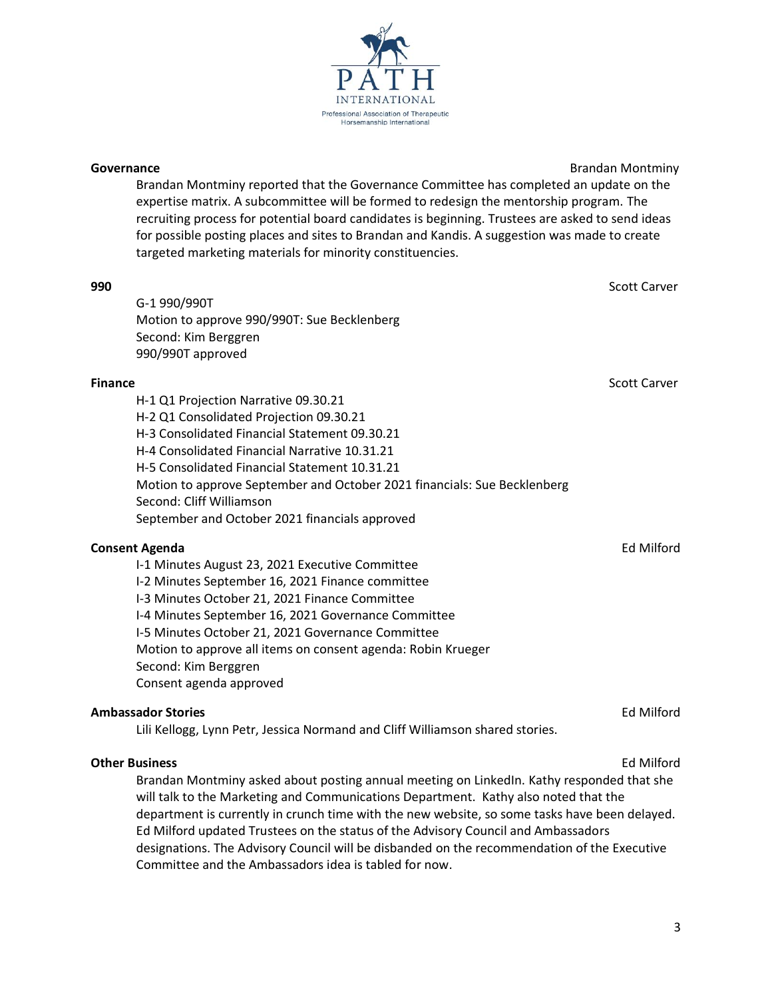Brandan Montminy reported that the Governance Committee has completed an update on the expertise matrix. A subcommittee will be formed to redesign the mentorship program. The recruiting process for potential board candidates is beginning. Trustees are asked to send ideas for possible posting places and sites to Brandan and Kandis. A suggestion was made to create targeted marketing materials for minority constituencies.

# **990** Scott Carver

G-1 990/990T Motion to approve 990/990T: Sue Becklenberg Second: Kim Berggren 990/990T approved

# **Finance** Scott Carver

H-1 Q1 Projection Narrative 09.30.21 H-2 Q1 Consolidated Projection 09.30.21 H-3 Consolidated Financial Statement 09.30.21 H-4 Consolidated Financial Narrative 10.31.21 H-5 Consolidated Financial Statement 10.31.21 Motion to approve September and October 2021 financials: Sue Becklenberg Second: Cliff Williamson September and October 2021 financials approved

### **Consent Agenda** Ed Milford **Consent Agenda** Ed Milford **Consent Agenda** Ed Milford

I-1 Minutes August 23, 2021 Executive Committee I-2 Minutes September 16, 2021 Finance committee I-3 Minutes October 21, 2021 Finance Committee I-4 Minutes September 16, 2021 Governance Committee I-5 Minutes October 21, 2021 Governance Committee Motion to approve all items on consent agenda: Robin Krueger Second: Kim Berggren Consent agenda approved

### **Ambassador Stories** Ed Milford

Lili Kellogg, Lynn Petr, Jessica Normand and Cliff Williamson shared stories.

### **Other Business** Ed Milford

Brandan Montminy asked about posting annual meeting on LinkedIn. Kathy responded that she will talk to the Marketing and Communications Department. Kathy also noted that the department is currently in crunch time with the new website, so some tasks have been delayed. Ed Milford updated Trustees on the status of the Advisory Council and Ambassadors designations. The Advisory Council will be disbanded on the recommendation of the Executive Committee and the Ambassadors idea is tabled for now.

**Governance Brandan Montminy Governance Brandan Montminy**